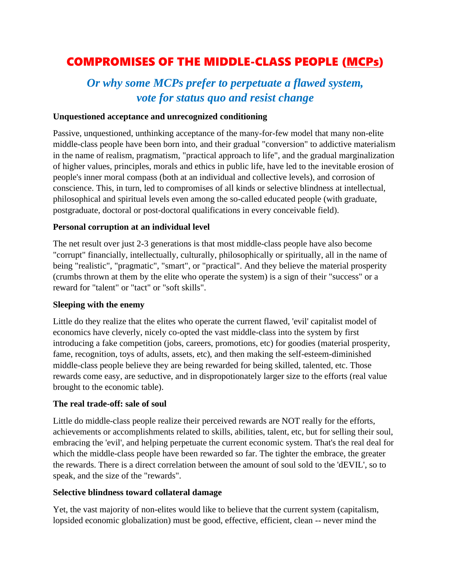# COMPROMISES OF THE MIDDLE-CLASS PEOPLE [\(MCPs\)](https://www.nrinatter.com/2021-forecast)

# *Or why some MCPs prefer to perpetuate a flawed system, vote for status quo and resist change*

## **Unquestioned acceptance and unrecognized conditioning**

Passive, unquestioned, unthinking acceptance of the many-for-few model that many non-elite middle-class people have been born into, and their gradual "conversion" to addictive materialism in the name of realism, pragmatism, "practical approach to life", and the gradual marginalization of higher values, principles, morals and ethics in public life, have led to the inevitable erosion of people's inner moral compass (both at an individual and collective levels), and corrosion of conscience. This, in turn, led to compromises of all kinds or selective blindness at intellectual, philosophical and spiritual levels even among the so-called educated people (with graduate, postgraduate, doctoral or post-doctoral qualifications in every conceivable field).

### **Personal corruption at an individual level**

The net result over just 2-3 generations is that most middle-class people have also become "corrupt" financially, intellectually, culturally, philosophically or spiritually, all in the name of being "realistic", "pragmatic", "smart", or "practical". And they believe the material prosperity (crumbs thrown at them by the elite who operate the system) is a sign of their "success" or a reward for "talent" or "tact" or "soft skills".

#### **Sleeping with the enemy**

Little do they realize that the elites who operate the current flawed, 'evil' capitalist model of economics have cleverly, nicely co-opted the vast middle-class into the system by first introducing a fake competition (jobs, careers, promotions, etc) for goodies (material prosperity, fame, recognition, toys of adults, assets, etc), and then making the self-esteem-diminished middle-class people believe they are being rewarded for being skilled, talented, etc. Those rewards come easy, are seductive, and in dispropotionately larger size to the efforts (real value brought to the economic table).

#### **The real trade-off: sale of soul**

Little do middle-class people realize their perceived rewards are NOT really for the efforts, achievements or accomplishments related to skills, abilities, talent, etc, but for selling their soul, embracing the 'evil', and helping perpetuate the current economic system. That's the real deal for which the middle-class people have been rewarded so far. The tighter the embrace, the greater the rewards. There is a direct correlation between the amount of soul sold to the 'dEVIL', so to speak, and the size of the "rewards".

#### **Selective blindness toward collateral damage**

Yet, the vast majority of non-elites would like to believe that the current system (capitalism, lopsided economic globalization) must be good, effective, efficient, clean -- never mind the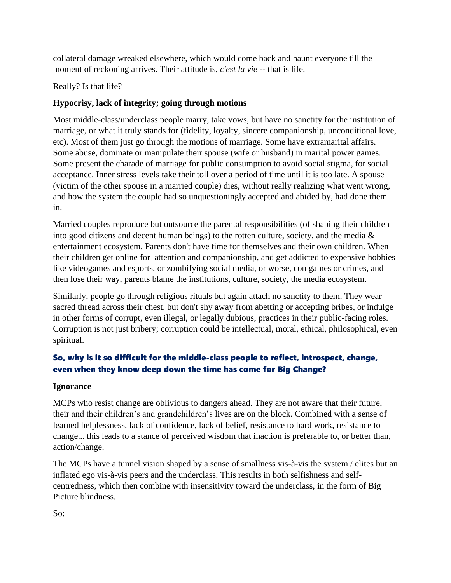collateral damage wreaked elsewhere, which would come back and haunt everyone till the moment of reckoning arrives. Their attitude is, *c'est la vie* -- that is life.

Really? Is that life?

# **Hypocrisy, lack of integrity; going through motions**

Most middle-class/underclass people marry, take vows, but have no sanctity for the institution of marriage, or what it truly stands for (fidelity, loyalty, sincere companionship, unconditional love, etc). Most of them just go through the motions of marriage. Some have extramarital affairs. Some abuse, dominate or manipulate their spouse (wife or husband) in marital power games. Some present the charade of marriage for public consumption to avoid social stigma, for social acceptance. Inner stress levels take their toll over a period of time until it is too late. A spouse (victim of the other spouse in a married couple) dies, without really realizing what went wrong, and how the system the couple had so unquestioningly accepted and abided by, had done them in.

Married couples reproduce but outsource the parental responsibilities (of shaping their children into good citizens and decent human beings) to the rotten culture, society, and the media  $\&$ entertainment ecosystem. Parents don't have time for themselves and their own children. When their children get online for attention and companionship, and get addicted to expensive hobbies like videogames and esports, or zombifying social media, or worse, con games or crimes, and then lose their way, parents blame the institutions, culture, society, the media ecosystem.

Similarly, people go through religious rituals but again attach no sanctity to them. They wear sacred thread across their chest, but don't shy away from abetting or accepting bribes, or indulge in other forms of corrupt, even illegal, or legally dubious, practices in their public-facing roles. Corruption is not just bribery; corruption could be intellectual, moral, ethical, philosophical, even spiritual.

# So, why is it so difficult for the middle-class people to reflect, introspect, change, even when they know deep down the time has come for Big Change?

## **Ignorance**

MCPs who resist change are oblivious to dangers ahead. They are not aware that their future, their and their children's and grandchildren's lives are on the block. Combined with a sense of learned helplessness, lack of confidence, lack of belief, resistance to hard work, resistance to change... this leads to a stance of perceived wisdom that inaction is preferable to, or better than, action/change.

The MCPs have a tunnel vision shaped by a sense of smallness vis-à-vis the system / elites but an inflated ego vis-à-vis peers and the underclass. This results in both selfishness and selfcentredness, which then combine with insensitivity toward the underclass, in the form of Big Picture blindness.

So: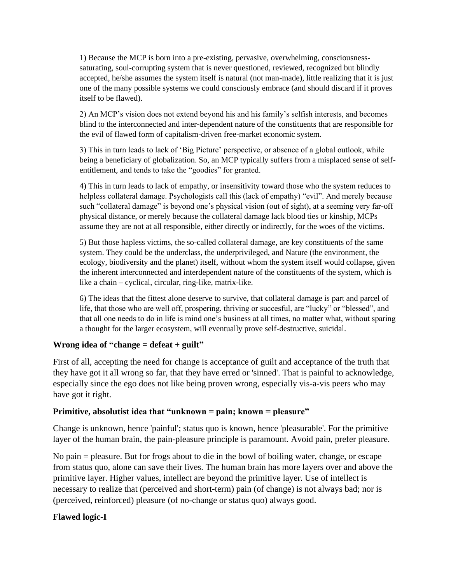1) Because the MCP is born into a pre-existing, pervasive, overwhelming, consciousnesssaturating, soul-corrupting system that is never questioned, reviewed, recognized but blindly accepted, he/she assumes the system itself is natural (not man-made), little realizing that it is just one of the many possible systems we could consciously embrace (and should discard if it proves itself to be flawed).

2) An MCP's vision does not extend beyond his and his family's selfish interests, and becomes blind to the interconnected and inter-dependent nature of the constituents that are responsible for the evil of flawed form of capitalism-driven free-market economic system.

3) This in turn leads to lack of 'Big Picture' perspective, or absence of a global outlook, while being a beneficiary of globalization. So, an MCP typically suffers from a misplaced sense of selfentitlement, and tends to take the "goodies" for granted.

4) This in turn leads to lack of empathy, or insensitivity toward those who the system reduces to helpless collateral damage. Psychologists call this (lack of empathy) "evil". And merely because such "collateral damage" is beyond one's physical vision (out of sight), at a seeming very far-off physical distance, or merely because the collateral damage lack blood ties or kinship, MCPs assume they are not at all responsible, either directly or indirectly, for the woes of the victims.

5) But those hapless victims, the so-called collateral damage, are key constituents of the same system. They could be the underclass, the underprivileged, and Nature (the environment, the ecology, biodiversity and the planet) itself, without whom the system itself would collapse, given the inherent interconnected and interdependent nature of the constituents of the system, which is like a chain – cyclical, circular, ring-like, matrix-like.

6) The ideas that the fittest alone deserve to survive, that collateral damage is part and parcel of life, that those who are well off, prospering, thriving or succesful, are "lucky" or "blessed", and that all one needs to do in life is mind one's business at all times, no matter what, without sparing a thought for the larger ecosystem, will eventually prove self-destructive, suicidal.

## **Wrong idea of "change = defeat + guilt"**

First of all, accepting the need for change is acceptance of guilt and acceptance of the truth that they have got it all wrong so far, that they have erred or 'sinned'. That is painful to acknowledge, especially since the ego does not like being proven wrong, especially vis-a-vis peers who may have got it right.

## **Primitive, absolutist idea that "unknown = pain; known = pleasure"**

Change is unknown, hence 'painful'; status quo is known, hence 'pleasurable'. For the primitive layer of the human brain, the pain-pleasure principle is paramount. Avoid pain, prefer pleasure.

No pain = pleasure. But for frogs about to die in the bowl of boiling water, change, or escape from status quo, alone can save their lives. The human brain has more layers over and above the primitive layer. Higher values, intellect are beyond the primitive layer. Use of intellect is necessary to realize that (perceived and short-term) pain (of change) is not always bad; nor is (perceived, reinforced) pleasure (of no-change or status quo) always good.

# **Flawed logic-I**